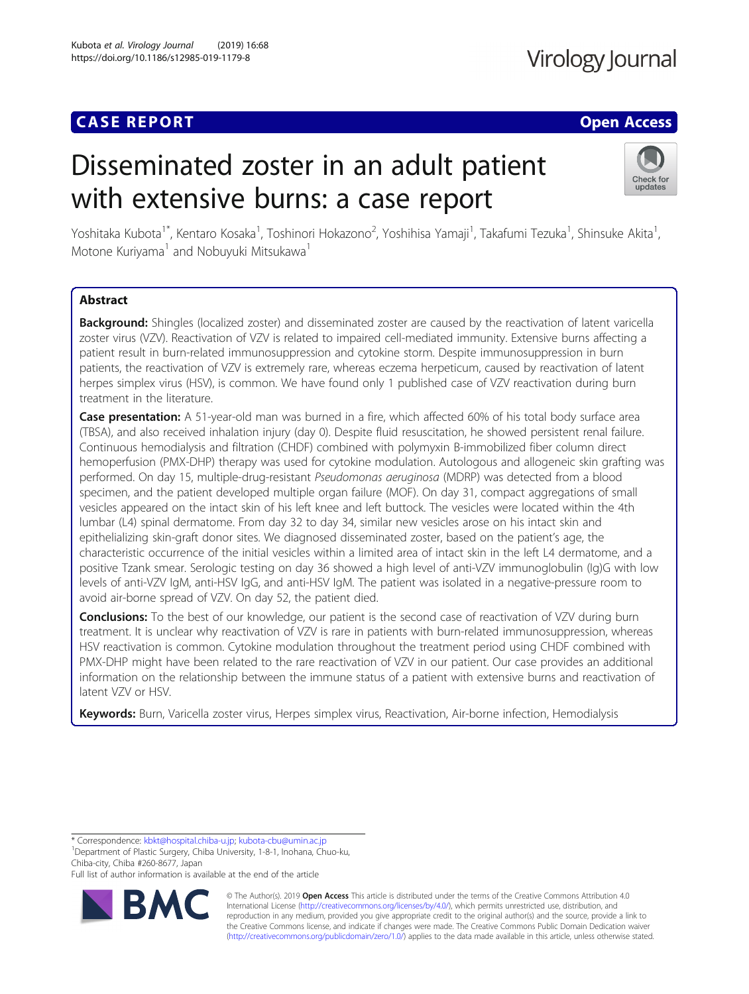## **CASE REPORT CASE ACCESS**

# Disseminated zoster in an adult patient with extensive burns: a case report



Yoshitaka Kubota<sup>1\*</sup>, Kentaro Kosaka<sup>1</sup>, Toshinori Hokazono<sup>2</sup>, Yoshihisa Yamaji<sup>1</sup>, Takafumi Tezuka<sup>1</sup>, Shinsuke Akita<sup>1</sup> , Motone Kuriyama<sup>1</sup> and Nobuyuki Mitsukawa<sup>1</sup>

### Abstract

Background: Shingles (localized zoster) and disseminated zoster are caused by the reactivation of latent varicella zoster virus (VZV). Reactivation of VZV is related to impaired cell-mediated immunity. Extensive burns affecting a patient result in burn-related immunosuppression and cytokine storm. Despite immunosuppression in burn patients, the reactivation of VZV is extremely rare, whereas eczema herpeticum, caused by reactivation of latent herpes simplex virus (HSV), is common. We have found only 1 published case of VZV reactivation during burn treatment in the literature.

**Case presentation:** A 51-year-old man was burned in a fire, which affected 60% of his total body surface area (TBSA), and also received inhalation injury (day 0). Despite fluid resuscitation, he showed persistent renal failure. Continuous hemodialysis and filtration (CHDF) combined with polymyxin B-immobilized fiber column direct hemoperfusion (PMX-DHP) therapy was used for cytokine modulation. Autologous and allogeneic skin grafting was performed. On day 15, multiple-drug-resistant Pseudomonas aeruginosa (MDRP) was detected from a blood specimen, and the patient developed multiple organ failure (MOF). On day 31, compact aggregations of small vesicles appeared on the intact skin of his left knee and left buttock. The vesicles were located within the 4th lumbar (L4) spinal dermatome. From day 32 to day 34, similar new vesicles arose on his intact skin and epithelializing skin-graft donor sites. We diagnosed disseminated zoster, based on the patient's age, the characteristic occurrence of the initial vesicles within a limited area of intact skin in the left L4 dermatome, and a positive Tzank smear. Serologic testing on day 36 showed a high level of anti-VZV immunoglobulin (Ig)G with low levels of anti-VZV IgM, anti-HSV IgG, and anti-HSV IgM. The patient was isolated in a negative-pressure room to avoid air-borne spread of VZV. On day 52, the patient died.

Conclusions: To the best of our knowledge, our patient is the second case of reactivation of VZV during burn treatment. It is unclear why reactivation of VZV is rare in patients with burn-related immunosuppression, whereas HSV reactivation is common. Cytokine modulation throughout the treatment period using CHDF combined with PMX-DHP might have been related to the rare reactivation of VZV in our patient. Our case provides an additional information on the relationship between the immune status of a patient with extensive burns and reactivation of latent VZV or HSV.

Keywords: Burn, Varicella zoster virus, Herpes simplex virus, Reactivation, Air-borne infection, Hemodialysis

\* Correspondence: [kbkt@hospital.chiba-u.jp;](mailto:kbkt@hospital.chiba-u.jp) [kubota-cbu@umin.ac.jp](mailto:kubota-cbu@umin.ac.jp) <sup>1</sup>

Department of Plastic Surgery, Chiba University, 1-8-1, Inohana, Chuo-ku, Chiba-city, Chiba #260-8677, Japan

Full list of author information is available at the end of the article



© The Author(s). 2019 **Open Access** This article is distributed under the terms of the Creative Commons Attribution 4.0 International License [\(http://creativecommons.org/licenses/by/4.0/](http://creativecommons.org/licenses/by/4.0/)), which permits unrestricted use, distribution, and reproduction in any medium, provided you give appropriate credit to the original author(s) and the source, provide a link to the Creative Commons license, and indicate if changes were made. The Creative Commons Public Domain Dedication waiver [\(http://creativecommons.org/publicdomain/zero/1.0/](http://creativecommons.org/publicdomain/zero/1.0/)) applies to the data made available in this article, unless otherwise stated.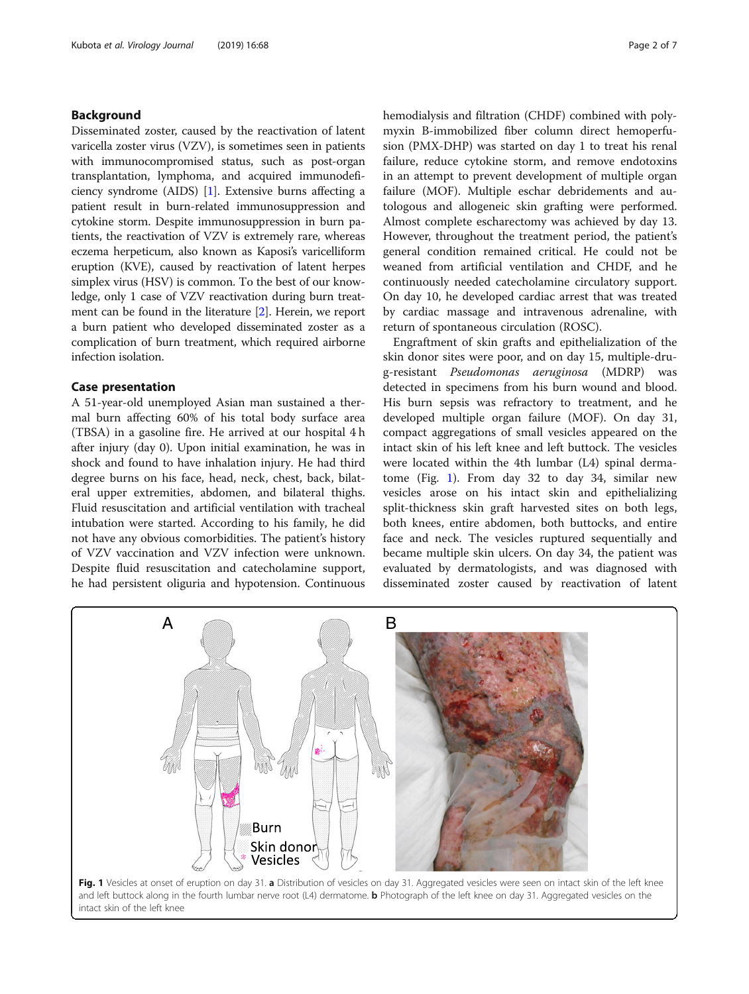#### Background

Disseminated zoster, caused by the reactivation of latent varicella zoster virus (VZV), is sometimes seen in patients with immunocompromised status, such as post-organ transplantation, lymphoma, and acquired immunodeficiency syndrome (AIDS) [\[1\]](#page-5-0). Extensive burns affecting a patient result in burn-related immunosuppression and cytokine storm. Despite immunosuppression in burn patients, the reactivation of VZV is extremely rare, whereas eczema herpeticum, also known as Kaposi's varicelliform eruption (KVE), caused by reactivation of latent herpes simplex virus (HSV) is common. To the best of our knowledge, only 1 case of VZV reactivation during burn treatment can be found in the literature [[2\]](#page-6-0). Herein, we report a burn patient who developed disseminated zoster as a complication of burn treatment, which required airborne infection isolation.

#### Case presentation

A 51-year-old unemployed Asian man sustained a thermal burn affecting 60% of his total body surface area (TBSA) in a gasoline fire. He arrived at our hospital 4 h after injury (day 0). Upon initial examination, he was in shock and found to have inhalation injury. He had third degree burns on his face, head, neck, chest, back, bilateral upper extremities, abdomen, and bilateral thighs. Fluid resuscitation and artificial ventilation with tracheal intubation were started. According to his family, he did not have any obvious comorbidities. The patient's history of VZV vaccination and VZV infection were unknown. Despite fluid resuscitation and catecholamine support, he had persistent oliguria and hypotension. Continuous

hemodialysis and filtration (CHDF) combined with polymyxin B-immobilized fiber column direct hemoperfusion (PMX-DHP) was started on day 1 to treat his renal failure, reduce cytokine storm, and remove endotoxins in an attempt to prevent development of multiple organ failure (MOF). Multiple eschar debridements and autologous and allogeneic skin grafting were performed. Almost complete escharectomy was achieved by day 13. However, throughout the treatment period, the patient's general condition remained critical. He could not be weaned from artificial ventilation and CHDF, and he continuously needed catecholamine circulatory support. On day 10, he developed cardiac arrest that was treated by cardiac massage and intravenous adrenaline, with return of spontaneous circulation (ROSC).

Engraftment of skin grafts and epithelialization of the skin donor sites were poor, and on day 15, multiple-drug-resistant Pseudomonas aeruginosa (MDRP) was detected in specimens from his burn wound and blood. His burn sepsis was refractory to treatment, and he developed multiple organ failure (MOF). On day 31, compact aggregations of small vesicles appeared on the intact skin of his left knee and left buttock. The vesicles were located within the 4th lumbar (L4) spinal dermatome (Fig. 1). From day 32 to day 34, similar new vesicles arose on his intact skin and epithelializing split-thickness skin graft harvested sites on both legs, both knees, entire abdomen, both buttocks, and entire face and neck. The vesicles ruptured sequentially and became multiple skin ulcers. On day 34, the patient was evaluated by dermatologists, and was diagnosed with disseminated zoster caused by reactivation of latent

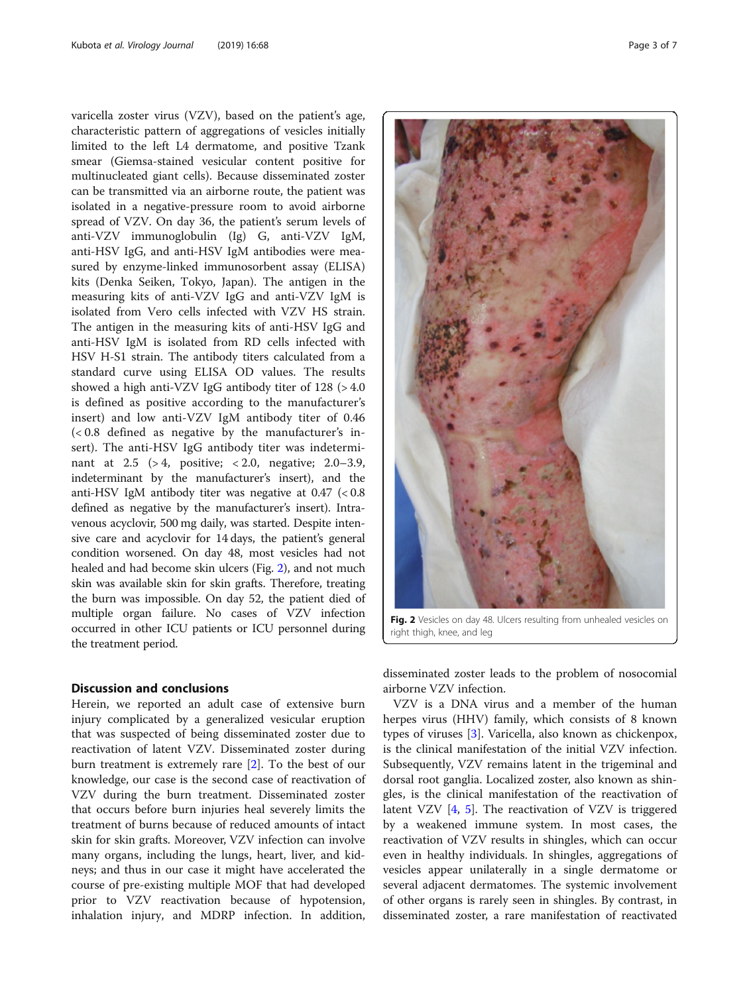varicella zoster virus (VZV), based on the patient's age, characteristic pattern of aggregations of vesicles initially limited to the left L4 dermatome, and positive Tzank smear (Giemsa-stained vesicular content positive for multinucleated giant cells). Because disseminated zoster can be transmitted via an airborne route, the patient was isolated in a negative-pressure room to avoid airborne spread of VZV. On day 36, the patient's serum levels of anti-VZV immunoglobulin (Ig) G, anti-VZV IgM, anti-HSV IgG, and anti-HSV IgM antibodies were measured by enzyme-linked immunosorbent assay (ELISA) kits (Denka Seiken, Tokyo, Japan). The antigen in the measuring kits of anti-VZV IgG and anti-VZV IgM is isolated from Vero cells infected with VZV HS strain. The antigen in the measuring kits of anti-HSV IgG and anti-HSV IgM is isolated from RD cells infected with HSV H-S1 strain. The antibody titers calculated from a standard curve using ELISA OD values. The results showed a high anti-VZV IgG antibody titer of 128 (> 4.0 is defined as positive according to the manufacturer's insert) and low anti-VZV IgM antibody titer of 0.46 (< 0.8 defined as negative by the manufacturer's insert). The anti-HSV IgG antibody titer was indeterminant at 2.5 (> 4, positive; < 2.0, negative; 2.0–3.9, indeterminant by the manufacturer's insert), and the anti-HSV IgM antibody titer was negative at  $0.47$  (<  $0.8$ ) defined as negative by the manufacturer's insert). Intravenous acyclovir, 500 mg daily, was started. Despite intensive care and acyclovir for 14 days, the patient's general condition worsened. On day 48, most vesicles had not healed and had become skin ulcers (Fig. 2), and not much skin was available skin for skin grafts. Therefore, treating the burn was impossible. On day 52, the patient died of multiple organ failure. No cases of VZV infection occurred in other ICU patients or ICU personnel during the treatment period.

#### Discussion and conclusions

Herein, we reported an adult case of extensive burn injury complicated by a generalized vesicular eruption that was suspected of being disseminated zoster due to reactivation of latent VZV. Disseminated zoster during burn treatment is extremely rare [[2](#page-6-0)]. To the best of our knowledge, our case is the second case of reactivation of VZV during the burn treatment. Disseminated zoster that occurs before burn injuries heal severely limits the treatment of burns because of reduced amounts of intact skin for skin grafts. Moreover, VZV infection can involve many organs, including the lungs, heart, liver, and kidneys; and thus in our case it might have accelerated the course of pre-existing multiple MOF that had developed prior to VZV reactivation because of hypotension, inhalation injury, and MDRP infection. In addition,



Fig. 2 Vesicles on day 48. Ulcers resulting from unhealed vesicles on right thigh, knee, and leg

disseminated zoster leads to the problem of nosocomial airborne VZV infection.

VZV is a DNA virus and a member of the human herpes virus (HHV) family, which consists of 8 known types of viruses [[3\]](#page-6-0). Varicella, also known as chickenpox, is the clinical manifestation of the initial VZV infection. Subsequently, VZV remains latent in the trigeminal and dorsal root ganglia. Localized zoster, also known as shingles, is the clinical manifestation of the reactivation of latent VZV [[4,](#page-6-0) [5\]](#page-6-0). The reactivation of VZV is triggered by a weakened immune system. In most cases, the reactivation of VZV results in shingles, which can occur even in healthy individuals. In shingles, aggregations of vesicles appear unilaterally in a single dermatome or several adjacent dermatomes. The systemic involvement of other organs is rarely seen in shingles. By contrast, in disseminated zoster, a rare manifestation of reactivated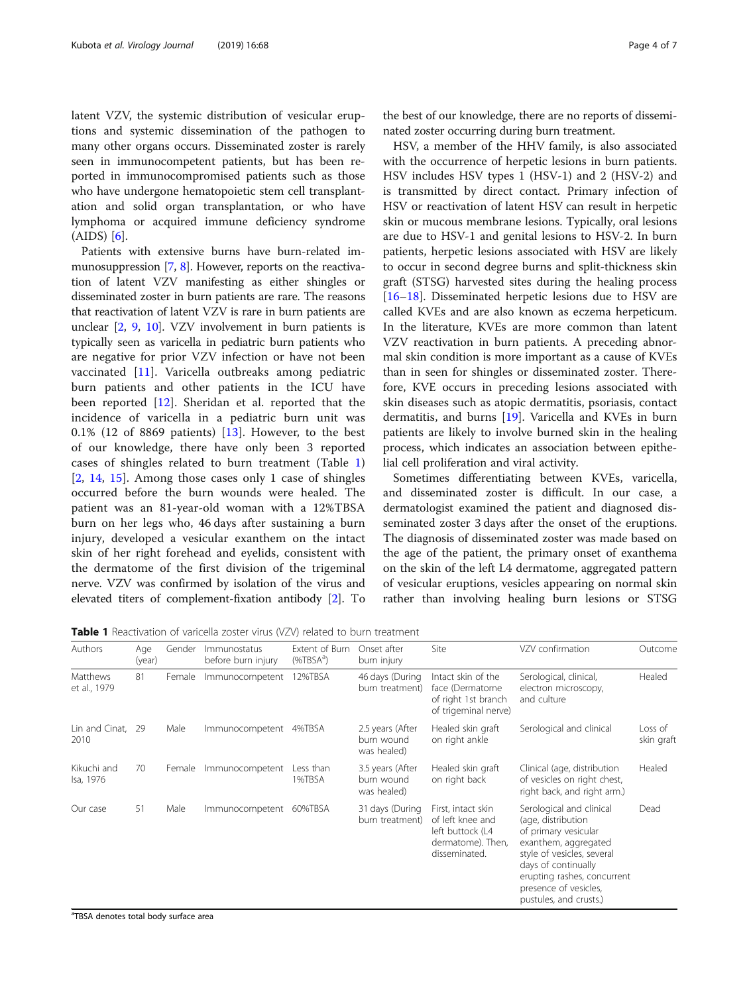latent VZV, the systemic distribution of vesicular eruptions and systemic dissemination of the pathogen to many other organs occurs. Disseminated zoster is rarely seen in immunocompetent patients, but has been reported in immunocompromised patients such as those who have undergone hematopoietic stem cell transplantation and solid organ transplantation, or who have lymphoma or acquired immune deficiency syndrome (AIDS) [[6](#page-6-0)].

Patients with extensive burns have burn-related immunosuppression [[7](#page-6-0), [8](#page-6-0)]. However, reports on the reactivation of latent VZV manifesting as either shingles or disseminated zoster in burn patients are rare. The reasons that reactivation of latent VZV is rare in burn patients are unclear [[2](#page-6-0), [9,](#page-6-0) [10\]](#page-6-0). VZV involvement in burn patients is typically seen as varicella in pediatric burn patients who are negative for prior VZV infection or have not been vaccinated [[11\]](#page-6-0). Varicella outbreaks among pediatric burn patients and other patients in the ICU have been reported [\[12](#page-6-0)]. Sheridan et al. reported that the incidence of varicella in a pediatric burn unit was  $0.1\%$  (12 of 8869 patients) [[13\]](#page-6-0). However, to the best of our knowledge, there have only been 3 reported cases of shingles related to burn treatment (Table 1) [[2,](#page-6-0) [14](#page-6-0), [15](#page-6-0)]. Among those cases only 1 case of shingles occurred before the burn wounds were healed. The patient was an 81-year-old woman with a 12%TBSA burn on her legs who, 46 days after sustaining a burn injury, developed a vesicular exanthem on the intact skin of her right forehead and eyelids, consistent with the dermatome of the first division of the trigeminal nerve. VZV was confirmed by isolation of the virus and elevated titers of complement-fixation antibody [[2\]](#page-6-0). To

the best of our knowledge, there are no reports of disseminated zoster occurring during burn treatment.

HSV, a member of the HHV family, is also associated with the occurrence of herpetic lesions in burn patients. HSV includes HSV types 1 (HSV-1) and 2 (HSV-2) and is transmitted by direct contact. Primary infection of HSV or reactivation of latent HSV can result in herpetic skin or mucous membrane lesions. Typically, oral lesions are due to HSV-1 and genital lesions to HSV-2. In burn patients, herpetic lesions associated with HSV are likely to occur in second degree burns and split-thickness skin graft (STSG) harvested sites during the healing process [[16](#page-6-0)–[18](#page-6-0)]. Disseminated herpetic lesions due to HSV are called KVEs and are also known as eczema herpeticum. In the literature, KVEs are more common than latent VZV reactivation in burn patients. A preceding abnormal skin condition is more important as a cause of KVEs than in seen for shingles or disseminated zoster. Therefore, KVE occurs in preceding lesions associated with skin diseases such as atopic dermatitis, psoriasis, contact dermatitis, and burns [\[19](#page-6-0)]. Varicella and KVEs in burn patients are likely to involve burned skin in the healing process, which indicates an association between epithelial cell proliferation and viral activity.

Sometimes differentiating between KVEs, varicella, and disseminated zoster is difficult. In our case, a dermatologist examined the patient and diagnosed disseminated zoster 3 days after the onset of the eruptions. The diagnosis of disseminated zoster was made based on the age of the patient, the primary onset of exanthema on the skin of the left L4 dermatome, aggregated pattern of vesicular eruptions, vesicles appearing on normal skin rather than involving healing burn lesions or STSG

Table 1 Reactivation of varicella zoster virus (VZV) related to burn treatment

| Authors                  | Age<br>(year) | Gender | Immunostatus<br>before burn injury | Extent of Burn<br>$(% ^{a})$ | Onset after<br>burn injury                    | Site                                                                                             | VZV confirmation                                                                                                                                                                                                                      | Outcome               |
|--------------------------|---------------|--------|------------------------------------|------------------------------|-----------------------------------------------|--------------------------------------------------------------------------------------------------|---------------------------------------------------------------------------------------------------------------------------------------------------------------------------------------------------------------------------------------|-----------------------|
| Matthews<br>et al., 1979 | 81            | Female | Immunocompetent                    | 12%TBSA                      | 46 days (During<br>burn treatment)            | Intact skin of the<br>face (Dermatome<br>of right 1st branch<br>of trigeminal nerve)             | Serological, clinical,<br>electron microscopy,<br>and culture                                                                                                                                                                         | Healed                |
| Lin and Cinat,<br>2010   | -29           | Male   | Immunocompetent                    | 4%TBSA                       | 2.5 years (After<br>burn wound<br>was healed) | Healed skin graft<br>on right ankle                                                              | Serological and clinical                                                                                                                                                                                                              | Loss of<br>skin graft |
| Kikuchi and<br>Isa, 1976 | 70            | Female | Immunocompetent                    | Less than<br>1%TBSA          | 3.5 years (After<br>burn wound<br>was healed) | Healed skin graft<br>on right back                                                               | Clinical (age, distribution<br>of vesicles on right chest,<br>right back, and right arm.)                                                                                                                                             | Healed                |
| Our case                 | 51            | Male   | Immunocompetent                    | 60%TBSA                      | 31 days (During<br>burn treatment)            | First, intact skin<br>of left knee and<br>left buttock (L4<br>dermatome). Then,<br>disseminated. | Serological and clinical<br>(age, distribution<br>of primary vesicular<br>exanthem, aggregated<br>style of vesicles, several<br>days of continually<br>erupting rashes, concurrent<br>presence of vesicles,<br>pustules, and crusts.) | Dead                  |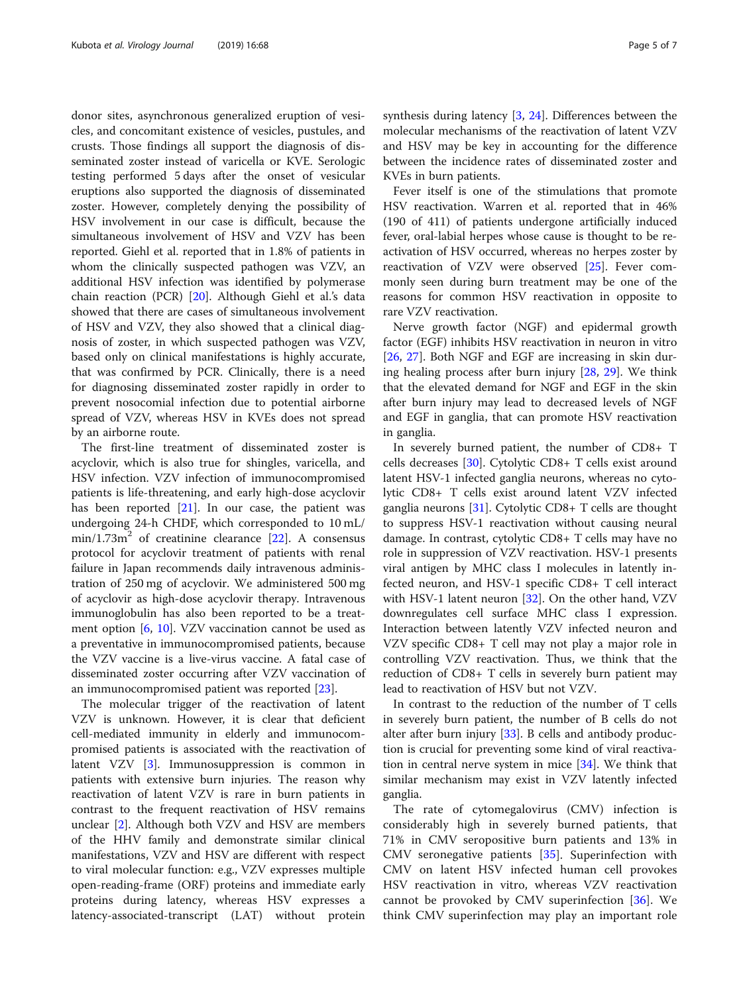donor sites, asynchronous generalized eruption of vesicles, and concomitant existence of vesicles, pustules, and crusts. Those findings all support the diagnosis of disseminated zoster instead of varicella or KVE. Serologic testing performed 5 days after the onset of vesicular eruptions also supported the diagnosis of disseminated zoster. However, completely denying the possibility of HSV involvement in our case is difficult, because the simultaneous involvement of HSV and VZV has been reported. Giehl et al. reported that in 1.8% of patients in whom the clinically suspected pathogen was VZV, an additional HSV infection was identified by polymerase chain reaction (PCR) [\[20](#page-6-0)]. Although Giehl et al.'s data showed that there are cases of simultaneous involvement of HSV and VZV, they also showed that a clinical diagnosis of zoster, in which suspected pathogen was VZV, based only on clinical manifestations is highly accurate, that was confirmed by PCR. Clinically, there is a need for diagnosing disseminated zoster rapidly in order to prevent nosocomial infection due to potential airborne spread of VZV, whereas HSV in KVEs does not spread by an airborne route.

The first-line treatment of disseminated zoster is acyclovir, which is also true for shingles, varicella, and HSV infection. VZV infection of immunocompromised patients is life-threatening, and early high-dose acyclovir has been reported  $[21]$ . In our case, the patient was undergoing 24-h CHDF, which corresponded to 10 mL/  $min/1.73m<sup>2</sup>$  of creatinine clearance [\[22](#page-6-0)]. A consensus protocol for acyclovir treatment of patients with renal failure in Japan recommends daily intravenous administration of 250 mg of acyclovir. We administered 500 mg of acyclovir as high-dose acyclovir therapy. Intravenous immunoglobulin has also been reported to be a treatment option [\[6](#page-6-0), [10\]](#page-6-0). VZV vaccination cannot be used as a preventative in immunocompromised patients, because the VZV vaccine is a live-virus vaccine. A fatal case of disseminated zoster occurring after VZV vaccination of an immunocompromised patient was reported [\[23](#page-6-0)].

The molecular trigger of the reactivation of latent VZV is unknown. However, it is clear that deficient cell-mediated immunity in elderly and immunocompromised patients is associated with the reactivation of latent VZV [\[3](#page-6-0)]. Immunosuppression is common in patients with extensive burn injuries. The reason why reactivation of latent VZV is rare in burn patients in contrast to the frequent reactivation of HSV remains unclear [[2\]](#page-6-0). Although both VZV and HSV are members of the HHV family and demonstrate similar clinical manifestations, VZV and HSV are different with respect to viral molecular function: e.g., VZV expresses multiple open-reading-frame (ORF) proteins and immediate early proteins during latency, whereas HSV expresses a latency-associated-transcript (LAT) without protein synthesis during latency [\[3](#page-6-0), [24\]](#page-6-0). Differences between the molecular mechanisms of the reactivation of latent VZV and HSV may be key in accounting for the difference between the incidence rates of disseminated zoster and KVEs in burn patients.

Fever itself is one of the stimulations that promote HSV reactivation. Warren et al. reported that in 46% (190 of 411) of patients undergone artificially induced fever, oral-labial herpes whose cause is thought to be reactivation of HSV occurred, whereas no herpes zoster by reactivation of VZV were observed [\[25](#page-6-0)]. Fever commonly seen during burn treatment may be one of the reasons for common HSV reactivation in opposite to rare VZV reactivation.

Nerve growth factor (NGF) and epidermal growth factor (EGF) inhibits HSV reactivation in neuron in vitro [[26,](#page-6-0) [27](#page-6-0)]. Both NGF and EGF are increasing in skin during healing process after burn injury [[28](#page-6-0), [29](#page-6-0)]. We think that the elevated demand for NGF and EGF in the skin after burn injury may lead to decreased levels of NGF and EGF in ganglia, that can promote HSV reactivation in ganglia.

In severely burned patient, the number of CD8+ T cells decreases [\[30\]](#page-6-0). Cytolytic CD8+ T cells exist around latent HSV-1 infected ganglia neurons, whereas no cytolytic CD8+ T cells exist around latent VZV infected ganglia neurons [[31\]](#page-6-0). Cytolytic CD8+ T cells are thought to suppress HSV-1 reactivation without causing neural damage. In contrast, cytolytic CD8+ T cells may have no role in suppression of VZV reactivation. HSV-1 presents viral antigen by MHC class I molecules in latently infected neuron, and HSV-1 specific CD8+ T cell interact with HSV-1 latent neuron [\[32](#page-6-0)]. On the other hand, VZV downregulates cell surface MHC class I expression. Interaction between latently VZV infected neuron and VZV specific CD8+ T cell may not play a major role in controlling VZV reactivation. Thus, we think that the reduction of CD8+ T cells in severely burn patient may lead to reactivation of HSV but not VZV.

In contrast to the reduction of the number of T cells in severely burn patient, the number of B cells do not alter after burn injury [[33\]](#page-6-0). B cells and antibody production is crucial for preventing some kind of viral reactivation in central nerve system in mice [[34](#page-6-0)]. We think that similar mechanism may exist in VZV latently infected ganglia.

The rate of cytomegalovirus (CMV) infection is considerably high in severely burned patients, that 71% in CMV seropositive burn patients and 13% in CMV seronegative patients [\[35](#page-6-0)]. Superinfection with CMV on latent HSV infected human cell provokes HSV reactivation in vitro, whereas VZV reactivation cannot be provoked by CMV superinfection [[36](#page-6-0)]. We think CMV superinfection may play an important role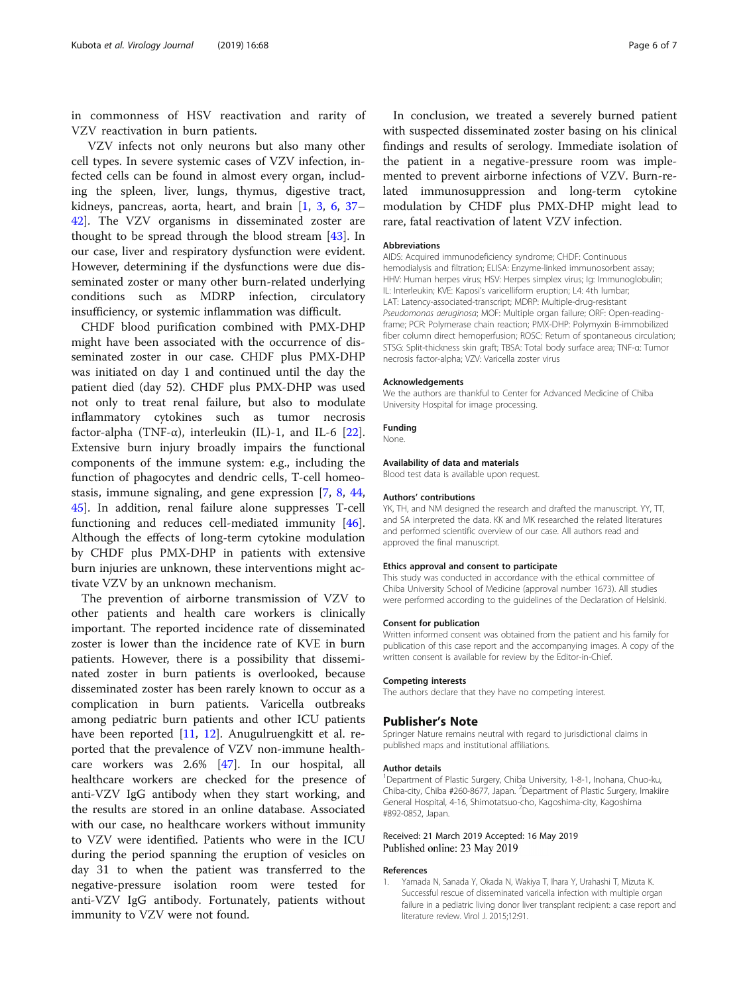<span id="page-5-0"></span>in commonness of HSV reactivation and rarity of VZV reactivation in burn patients.

VZV infects not only neurons but also many other cell types. In severe systemic cases of VZV infection, infected cells can be found in almost every organ, including the spleen, liver, lungs, thymus, digestive tract, kidneys, pancreas, aorta, heart, and brain [1, [3,](#page-6-0) [6](#page-6-0), [37](#page-6-0)– [42\]](#page-6-0). The VZV organisms in disseminated zoster are thought to be spread through the blood stream [[43\]](#page-6-0). In our case, liver and respiratory dysfunction were evident. However, determining if the dysfunctions were due disseminated zoster or many other burn-related underlying conditions such as MDRP infection, circulatory insufficiency, or systemic inflammation was difficult.

CHDF blood purification combined with PMX-DHP might have been associated with the occurrence of disseminated zoster in our case. CHDF plus PMX-DHP was initiated on day 1 and continued until the day the patient died (day 52). CHDF plus PMX-DHP was used not only to treat renal failure, but also to modulate inflammatory cytokines such as tumor necrosis factor-alpha (TNF- $\alpha$ ), interleukin (IL)-1, and IL-6 [\[22](#page-6-0)]. Extensive burn injury broadly impairs the functional components of the immune system: e.g., including the function of phagocytes and dendric cells, T-cell homeostasis, immune signaling, and gene expression [[7,](#page-6-0) [8,](#page-6-0) [44](#page-6-0), [45\]](#page-6-0). In addition, renal failure alone suppresses T-cell functioning and reduces cell-mediated immunity [\[46](#page-6-0)]. Although the effects of long-term cytokine modulation by CHDF plus PMX-DHP in patients with extensive burn injuries are unknown, these interventions might activate VZV by an unknown mechanism.

The prevention of airborne transmission of VZV to other patients and health care workers is clinically important. The reported incidence rate of disseminated zoster is lower than the incidence rate of KVE in burn patients. However, there is a possibility that disseminated zoster in burn patients is overlooked, because disseminated zoster has been rarely known to occur as a complication in burn patients. Varicella outbreaks among pediatric burn patients and other ICU patients have been reported [[11,](#page-6-0) [12\]](#page-6-0). Anugulruengkitt et al. reported that the prevalence of VZV non-immune healthcare workers was 2.6% [[47\]](#page-6-0). In our hospital, all healthcare workers are checked for the presence of anti-VZV IgG antibody when they start working, and the results are stored in an online database. Associated with our case, no healthcare workers without immunity to VZV were identified. Patients who were in the ICU during the period spanning the eruption of vesicles on day 31 to when the patient was transferred to the negative-pressure isolation room were tested for anti-VZV IgG antibody. Fortunately, patients without immunity to VZV were not found.

In conclusion, we treated a severely burned patient with suspected disseminated zoster basing on his clinical findings and results of serology. Immediate isolation of the patient in a negative-pressure room was implemented to prevent airborne infections of VZV. Burn-related immunosuppression and long-term cytokine modulation by CHDF plus PMX-DHP might lead to rare, fatal reactivation of latent VZV infection.

#### Abbreviations

AIDS: Acquired immunodeficiency syndrome; CHDF: Continuous hemodialysis and filtration; ELISA: Enzyme-linked immunosorbent assay; HHV: Human herpes virus; HSV: Herpes simplex virus; Ig: Immunoglobulin; IL: Interleukin; KVE: Kaposi's varicelliform eruption; L4: 4th lumbar; LAT: Latency-associated-transcript; MDRP: Multiple-drug-resistant Pseudomonas aeruginosa; MOF: Multiple organ failure; ORF: Open-readingframe; PCR: Polymerase chain reaction; PMX-DHP: Polymyxin B-immobilized fiber column direct hemoperfusion; ROSC: Return of spontaneous circulation; STSG: Split-thickness skin graft; TBSA: Total body surface area; TNF-α: Tumor necrosis factor-alpha; VZV: Varicella zoster virus

#### Acknowledgements

We the authors are thankful to Center for Advanced Medicine of Chiba University Hospital for image processing.

#### Funding

None.

#### Availability of data and materials

Blood test data is available upon request.

#### Authors' contributions

YK, TH, and NM designed the research and drafted the manuscript. YY, TT, and SA interpreted the data. KK and MK researched the related literatures and performed scientific overview of our case. All authors read and approved the final manuscript.

#### Ethics approval and consent to participate

This study was conducted in accordance with the ethical committee of Chiba University School of Medicine (approval number 1673). All studies were performed according to the guidelines of the Declaration of Helsinki.

#### Consent for publication

Written informed consent was obtained from the patient and his family for publication of this case report and the accompanying images. A copy of the written consent is available for review by the Editor-in-Chief.

#### Competing interests

The authors declare that they have no competing interest.

#### Publisher's Note

Springer Nature remains neutral with regard to jurisdictional claims in published maps and institutional affiliations.

#### Author details

<sup>1</sup>Department of Plastic Surgery, Chiba University, 1-8-1, Inohana, Chuo-ku, Chiba-city, Chiba #260-8677, Japan. <sup>2</sup>Department of Plastic Surgery, Imakiire General Hospital, 4-16, Shimotatsuo-cho, Kagoshima-city, Kagoshima #892-0852, Japan.

#### Received: 21 March 2019 Accepted: 16 May 2019 Published online: 23 May 2019

#### References

1. Yamada N, Sanada Y, Okada N, Wakiya T, Ihara Y, Urahashi T, Mizuta K. Successful rescue of disseminated varicella infection with multiple organ failure in a pediatric living donor liver transplant recipient: a case report and literature review. Virol J. 2015;12:91.